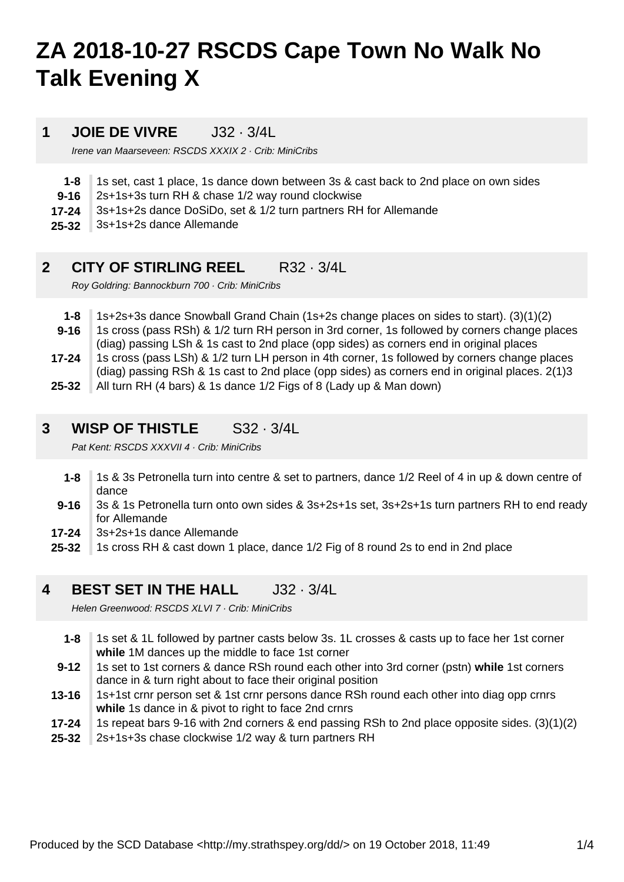# **ZA 2018-10-27 RSCDS Cape Town No Walk No Talk Evening X**

### **1 JOIE DE VIVRE** J32 · 3/4L

Irene van Maarseveen: RSCDS XXXIX 2 · Crib: MiniCribs

- **1-8** 1s set, cast 1 place, 1s dance down between 3s & cast back to 2nd place on own sides
- **9-16** 2s+1s+3s turn RH & chase 1/2 way round clockwise
- **17-24** 3s+1s+2s dance DoSiDo, set & 1/2 turn partners RH for Allemande
- **25-32** 3s+1s+2s dance Allemande

### **2 CITY OF STIRLING REEL** R32 · 3/4L

Roy Goldring: Bannockburn 700 · Crib: MiniCribs

- **25-32 17-24 9-16 1-8** 1s+2s+3s dance Snowball Grand Chain (1s+2s change places on sides to start). (3)(1)(2) 1s cross (pass RSh) & 1/2 turn RH person in 3rd corner, 1s followed by corners change places (diag) passing LSh & 1s cast to 2nd place (opp sides) as corners end in original places 1s cross (pass LSh) & 1/2 turn LH person in 4th corner, 1s followed by corners change places (diag) passing RSh & 1s cast to 2nd place (opp sides) as corners end in original places. 2(1)3 All turn RH (4 bars) & 1s dance 1/2 Figs of 8 (Lady up & Man down)
- 

#### **3 WISP OF THISTLE** S32 · 3/4L

Pat Kent: RSCDS XXXVII 4 · Crib: MiniCribs

- **1-8** 1s & 3s Petronella turn into centre & set to partners, dance 1/2 Reel of 4 in up & down centre of dance
- **9-16** 3s & 1s Petronella turn onto own sides & 3s+2s+1s set, 3s+2s+1s turn partners RH to end ready for Allemande
- **17-24** 3s+2s+1s dance Allemande
- **25-32** 1s cross RH & cast down 1 place, dance 1/2 Fig of 8 round 2s to end in 2nd place

### **4 BEST SET IN THE HALL** J32 · 3/4L

Helen Greenwood: RSCDS XLVI 7 · Crib: MiniCribs

- **1-8** 1s set & 1L followed by partner casts below 3s. 1L crosses & casts up to face her 1st corner **while** 1M dances up the middle to face 1st corner
- **9-12** 1s set to 1st corners & dance RSh round each other into 3rd corner (pstn) **while** 1st corners dance in & turn right about to face their original position
- **13-16** 1s+1st crnr person set & 1st crnr persons dance RSh round each other into diag opp crnrs **while** 1s dance in & pivot to right to face 2nd crnrs
- **17-24** 1s repeat bars 9-16 with 2nd corners & end passing RSh to 2nd place opposite sides. (3)(1)(2)
- **25-32** 2s+1s+3s chase clockwise 1/2 way & turn partners RH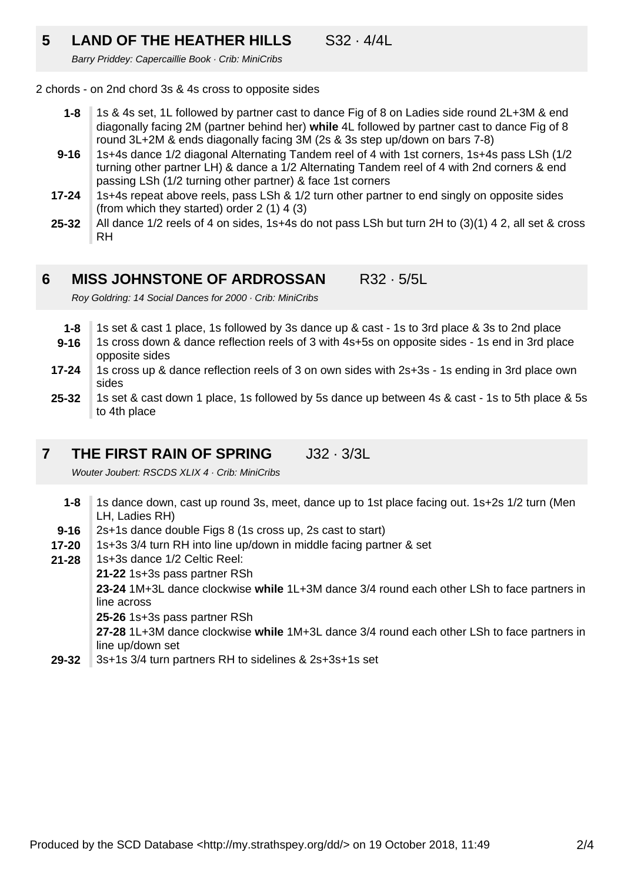# **5 LAND OF THE HEATHER HILLS** S32 · 4/4L

Barry Priddey: Capercaillie Book · Crib: MiniCribs

2 chords - on 2nd chord 3s & 4s cross to opposite sides

- **1-8** 1s & 4s set, 1L followed by partner cast to dance Fig of 8 on Ladies side round 2L+3M & end diagonally facing 2M (partner behind her) **while** 4L followed by partner cast to dance Fig of 8 round 3L+2M & ends diagonally facing 3M (2s & 3s step up/down on bars 7-8)
- **9-16** 1s+4s dance 1/2 diagonal Alternating Tandem reel of 4 with 1st corners, 1s+4s pass LSh (1/2 turning other partner LH) & dance a 1/2 Alternating Tandem reel of 4 with 2nd corners & end passing LSh (1/2 turning other partner) & face 1st corners
- **17-24** 1s+4s repeat above reels, pass LSh & 1/2 turn other partner to end singly on opposite sides (from which they started) order 2 (1) 4 (3)
- **25-32** All dance 1/2 reels of 4 on sides, 1s+4s do not pass LSh but turn 2H to (3)(1) 4 2, all set & cross RH

#### **6 MISS JOHNSTONE OF ARDROSSAN** R32 · 5/5L

Roy Goldring: 14 Social Dances for 2000 · Crib: MiniCribs

- **1-8** 1s set & cast 1 place, 1s followed by 3s dance up & cast - 1s to 3rd place & 3s to 2nd place
- **9-16** 1s cross down & dance reflection reels of 3 with 4s+5s on opposite sides - 1s end in 3rd place opposite sides
- **17-24** 1s cross up & dance reflection reels of 3 on own sides with 2s+3s - 1s ending in 3rd place own sides
- **25-32** 1s set & cast down 1 place, 1s followed by 5s dance up between 4s & cast - 1s to 5th place & 5s to 4th place

#### **7 THE FIRST RAIN OF SPRING** J32 · 3/3L

Wouter Joubert: RSCDS XLIX 4 · Crib: MiniCribs

- **1-8** 1s dance down, cast up round 3s, meet, dance up to 1st place facing out. 1s+2s 1/2 turn (Men LH, Ladies RH)
- **9-16** 2s+1s dance double Figs 8 (1s cross up, 2s cast to start)
- **17-20** 1s+3s 3/4 turn RH into line up/down in middle facing partner & set
- **21-28** 1s+3s dance 1/2 Celtic Reel:
	- **21-22** 1s+3s pass partner RSh

**23-24** 1M+3L dance clockwise **while** 1L+3M dance 3/4 round each other LSh to face partners in line across

**25-26** 1s+3s pass partner RSh

**27-28** 1L+3M dance clockwise **while** 1M+3L dance 3/4 round each other LSh to face partners in line up/down set

**29-32** 3s+1s 3/4 turn partners RH to sidelines & 2s+3s+1s set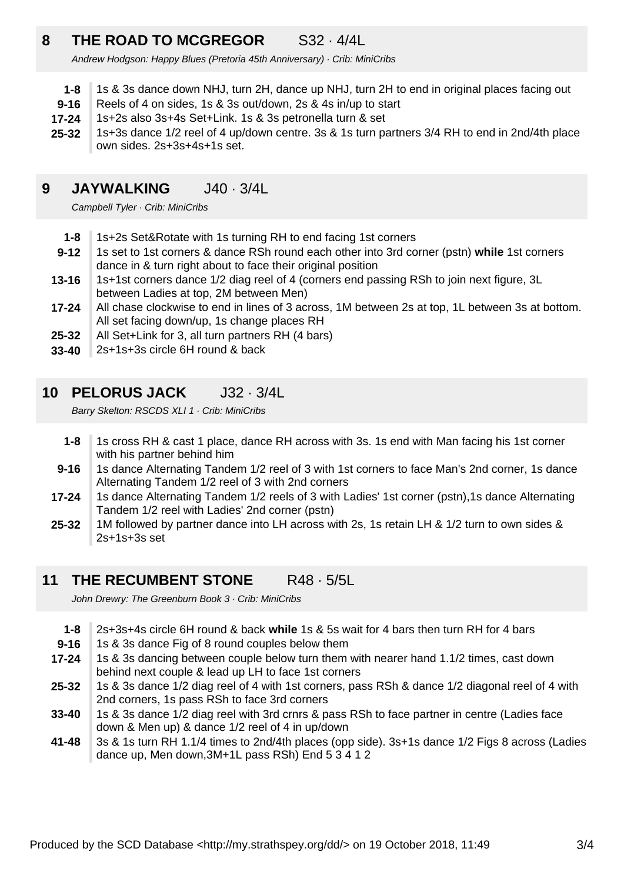# **8 THE ROAD TO MCGREGOR** S32 · 4/4L

Andrew Hodgson: Happy Blues (Pretoria 45th Anniversary) · Crib: MiniCribs

- **1-8** 1s & 3s dance down NHJ, turn 2H, dance up NHJ, turn 2H to end in original places facing out
- **9-16** Reels of 4 on sides, 1s & 3s out/down, 2s & 4s in/up to start
- **17-24** 1s+2s also 3s+4s Set+Link. 1s & 3s petronella turn & set
- **25-32** 1s+3s dance 1/2 reel of 4 up/down centre. 3s & 1s turn partners 3/4 RH to end in 2nd/4th place own sides. 2s+3s+4s+1s set.

# **9 JAYWALKING** J40 · 3/4L

Campbell Tyler · Crib: MiniCribs

- **1-8** 1s+2s Set&Rotate with 1s turning RH to end facing 1st corners
- **9-12** 1s set to 1st corners & dance RSh round each other into 3rd corner (pstn) **while** 1st corners dance in & turn right about to face their original position
- **13-16** 1s+1st corners dance 1/2 diag reel of 4 (corners end passing RSh to join next figure, 3L between Ladies at top, 2M between Men)
- **17-24** All chase clockwise to end in lines of 3 across, 1M between 2s at top, 1L between 3s at bottom. All set facing down/up, 1s change places RH
- **25-32** All Set+Link for 3, all turn partners RH (4 bars)
- **33-40** 2s+1s+3s circle 6H round & back

### **10 PELORUS JACK** J32 · 3/4L

Barry Skelton: RSCDS XLI 1 · Crib: MiniCribs

- **1-8** 1s cross RH & cast 1 place, dance RH across with 3s. 1s end with Man facing his 1st corner with his partner behind him
- **9-16** 1s dance Alternating Tandem 1/2 reel of 3 with 1st corners to face Man's 2nd corner, 1s dance Alternating Tandem 1/2 reel of 3 with 2nd corners
- **17-24** 1s dance Alternating Tandem 1/2 reels of 3 with Ladies' 1st corner (pstn),1s dance Alternating Tandem 1/2 reel with Ladies' 2nd corner (pstn)
- **25-32** 1M followed by partner dance into LH across with 2s, 1s retain LH & 1/2 turn to own sides & 2s+1s+3s set

## **11 THE RECUMBENT STONE** R48 · 5/5L

John Drewry: The Greenburn Book 3 · Crib: MiniCribs

| $1 - 8$   | 2s+3s+4s circle 6H round & back while 1s & 5s wait for 4 bars then turn RH for 4 bars           |
|-----------|-------------------------------------------------------------------------------------------------|
| $9 - 16$  | 1s & 3s dance Fig of 8 round couples below them                                                 |
| $17 - 24$ | 1s & 3s dancing between couple below turn them with nearer hand 1.1/2 times, cast down          |
|           | behind next couple & lead up LH to face 1st corners                                             |
| $25 - 32$ | 1s & 3s dance 1/2 diag reel of 4 with 1st corners, pass RSh & dance 1/2 diagonal reel of 4 with |
|           | 2nd corners, 1s pass RSh to face 3rd corners                                                    |
| $33 - 40$ | 1s & 3s dance 1/2 diag reel with 3rd crnrs & pass RSh to face partner in centre (Ladies face    |
|           | down & Men up) & dance 1/2 reel of 4 in up/down                                                 |
| $41 - 48$ | 3s & 1s turn RH 1.1/4 times to 2nd/4th places (opp side). 3s+1s dance 1/2 Figs 8 across (Ladies |
|           | dance up, Men down, 3M+1L pass RSh) End 5 3 4 1 2                                               |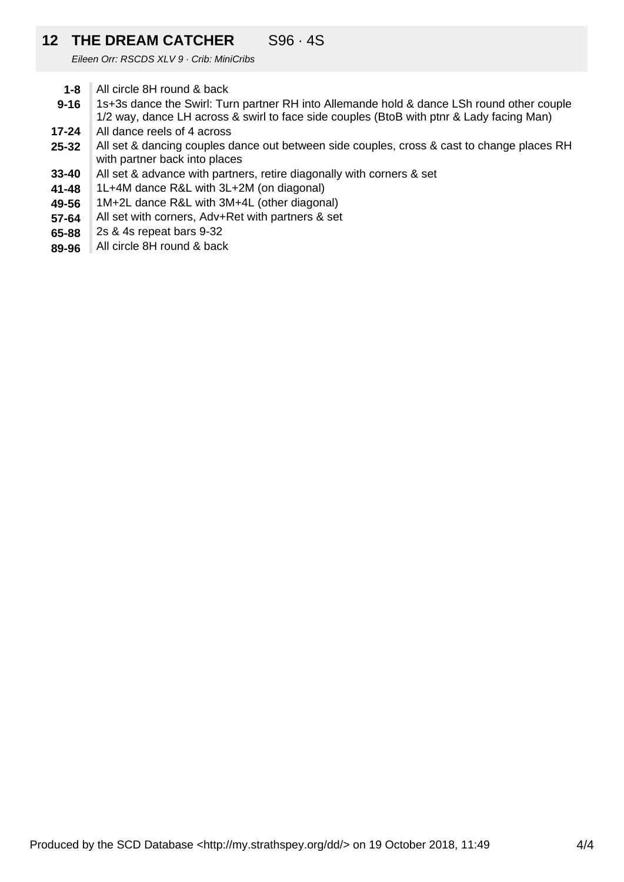# **12 THE DREAM CATCHER** S96 · 4S

Eileen Orr: RSCDS XLV 9 · Crib: MiniCribs

- **1-8** All circle 8H round & back
- **9-16** 1s+3s dance the Swirl: Turn partner RH into Allemande hold & dance LSh round other couple 1/2 way, dance LH across & swirl to face side couples (BtoB with ptnr & Lady facing Man)
- **17-24** All dance reels of 4 across
- **25-32** All set & dancing couples dance out between side couples, cross & cast to change places RH with partner back into places
- **33-40** All set & advance with partners, retire diagonally with corners & set
- **41-48** 1L+4M dance R&L with 3L+2M (on diagonal)
- **49-56** 1M+2L dance R&L with 3M+4L (other diagonal)
- **57-64** All set with corners, Adv+Ret with partners & set
- **65-88** 2s & 4s repeat bars 9-32
- **89-96** All circle 8H round & back